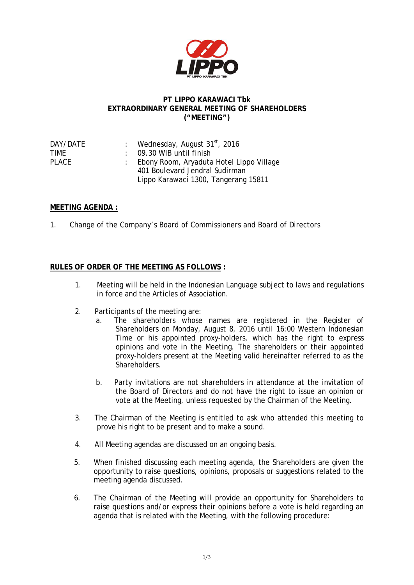

## **PT LIPPO KARAWACI Tbk EXTRAORDINARY GENERAL MEETING OF SHAREHOLDERS ("MEETING")**

| DAY/DATE | : Wednesday, August $31st$ , 2016          |
|----------|--------------------------------------------|
| TIMF     | $\therefore$ 09.30 WIB until finish        |
| PLACE    | : Ebony Room, Aryaduta Hotel Lippo Village |
|          | 401 Boulevard Jendral Sudirman             |
|          | Lippo Karawaci 1300, Tangerang 15811       |

## **MEETING AGENDA :**

1. Change of the Company's Board of Commissioners and Board of Directors

## **RULES OF ORDER OF THE MEETING AS FOLLOWS :**

- 1. Meeting will be held in the Indonesian Language subject to laws and regulations in force and the Articles of Association.
- 2. Participants of the meeting are:
	- a. The shareholders whose names are registered in the Register of Shareholders on Monday, August 8, 2016 until 16:00 Western Indonesian Time or his appointed proxy-holders, which has the right to express opinions and vote in the Meeting. The shareholders or their appointed proxy-holders present at the Meeting valid hereinafter referred to as the Shareholders.
	- b. Party invitations are not shareholders in attendance at the invitation of the Board of Directors and do not have the right to issue an opinion or vote at the Meeting, unless requested by the Chairman of the Meeting.
- 3. The Chairman of the Meeting is entitled to ask who attended this meeting to prove his right to be present and to make a sound.
- 4. All Meeting agendas are discussed on an ongoing basis.
- 5. When finished discussing each meeting agenda, the Shareholders are given the opportunity to raise questions, opinions, proposals or suggestions related to the meeting agenda discussed.
- 6. The Chairman of the Meeting will provide an opportunity for Shareholders to raise questions and/or express their opinions before a vote is held regarding an agenda that is related with the Meeting, with the following procedure: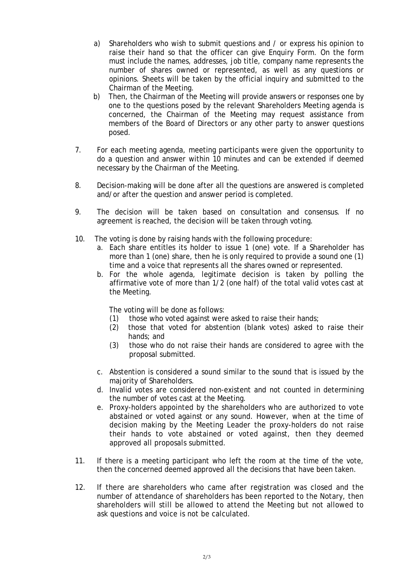- a) Shareholders who wish to submit questions and / or express his opinion to raise their hand so that the officer can give Enquiry Form. On the form must include the names, addresses, job title, company name represents the number of shares owned or represented, as well as any questions or opinions. Sheets will be taken by the official inquiry and submitted to the Chairman of the Meeting.
- b) Then, the Chairman of the Meeting will provide answers or responses one by one to the questions posed by the relevant Shareholders Meeting agenda is concerned, the Chairman of the Meeting may request assistance from members of the Board of Directors or any other party to answer questions posed.
- 7. For each meeting agenda, meeting participants were given the opportunity to do a question and answer within 10 minutes and can be extended if deemed necessary by the Chairman of the Meeting.
- 8. Decision-making will be done after all the questions are answered is completed and/or after the question and answer period is completed.
- 9. The decision will be taken based on consultation and consensus. If no agreement is reached, the decision will be taken through voting.
- 10. The voting is done by raising hands with the following procedure:
	- a. Each share entitles its holder to issue 1 (one) vote. If a Shareholder has more than 1 (one) share, then he is only required to provide a sound one (1) time and a voice that represents all the shares owned or represented.
	- b. For the whole agenda, legitimate decision is taken by polling the affirmative vote of more than 1/2 (one half) of the total valid votes cast at the Meeting.

The voting will be done as follows:

- (1) those who voted against were asked to raise their hands;
- (2) those that voted for abstention (blank votes) asked to raise their hands; and
- (3) those who do not raise their hands are considered to agree with the proposal submitted.
- c. Abstention is considered a sound similar to the sound that is issued by the majority of Shareholders.
- d. Invalid votes are considered non-existent and not counted in determining the number of votes cast at the Meeting.
- e. Proxy-holders appointed by the shareholders who are authorized to vote abstained or voted against or any sound. However, when at the time of decision making by the Meeting Leader the proxy-holders do not raise their hands to vote abstained or voted against, then they deemed approved all proposals submitted.
- 11. If there is a meeting participant who left the room at the time of the vote, then the concerned deemed approved all the decisions that have been taken.
- 12. If there are shareholders who came after registration was closed and the number of attendance of shareholders has been reported to the Notary, then shareholders will still be allowed to attend the Meeting but not allowed to ask questions and voice is not be calculated.